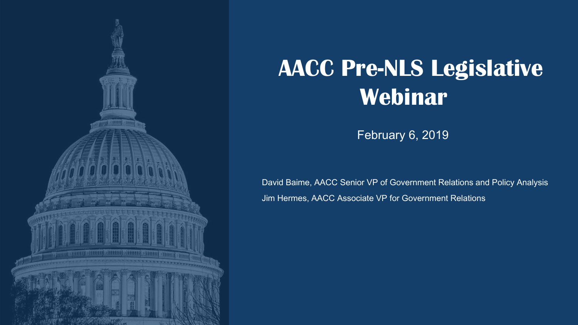

# **AACC Pre-NLS Legislative Webinar**

February 6, 2019

David Baime, AACC Senior VP of Government Relations and Policy Analysis Jim Hermes, AACC Associate VP for Government Relations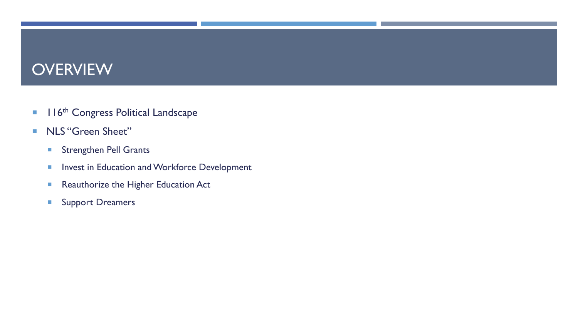#### **OVERVIEW**

- **116th Congress Political Landscape**
- NLS "Green Sheet"
	- **Strengthen Pell Grants**
	- **Invest in Education and Workforce Development**
	- Reauthorize the Higher Education Act
	- **Support Dreamers**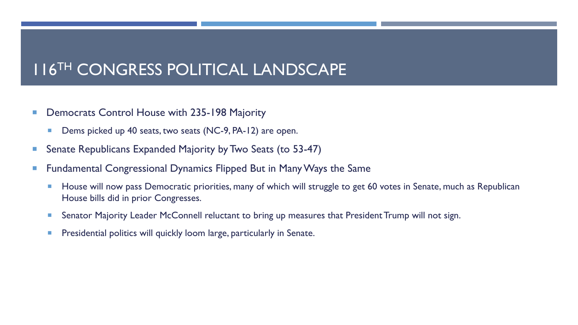#### 116TH CONGRESS POLITICAL LANDSCAPE

- **Democrats Control House with 235-198 Majority** 
	- **Dems picked up 40 seats, two seats (NC-9, PA-12) are open.**
- Senate Republicans Expanded Majority by Two Seats (to 53-47)
- Fundamental Congressional Dynamics Flipped But in Many Ways the Same
	- **House will now pass Democratic priorities, many of which will struggle to get 60 votes in Senate, much as Republican** House bills did in prior Congresses.
	- **Senator Majority Leader McConnell reluctant to bring up measures that President Trump will not sign.**
	- **Presidential politics will quickly loom large, particularly in Senate.**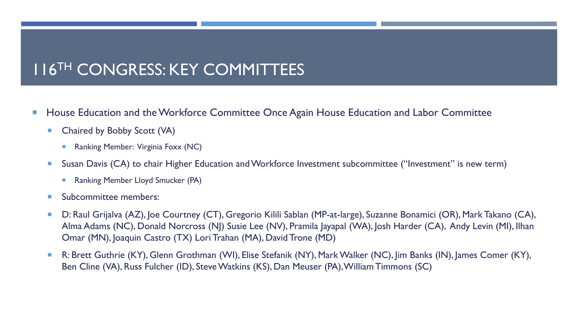# 116TH CONGRESS: KEY COMMITTEES

- House Education and the Workforce Committee Once Again House Education and Labor Committee
	- Chaired by Bobby Scott (VA)
		- Ranking Member: Virginia Foxx (NC)
	- Susan Davis (CA) to chair Higher Education and Workforce Investment subcommittee ("Investment" is new term)
		- Ranking Member Lloyd Smucker (PA)
	- **Subcommittee members:**
	- D: Raul Grijalva (AZ), Joe Courtney (CT), Gregorio Kilili Sablan (MP-at-large), Suzanne Bonamici (OR), Mark Takano (CA), Alma Adams (NC), Donald Norcross (NJ) Susie Lee (NV), Pramila Jayapal (WA), Josh Harder (CA), Andy Levin (MI), Ilhan Omar (MN), Joaquin Castro (TX) Lori Trahan (MA), David Trone (MD)
	- R: Brett Guthrie (KY), Glenn Grothman (WI), Elise Stefanik (NY), Mark Walker (NC), Jim Banks (IN), James Comer (KY), Ben Cline (VA), Russ Fulcher (ID), Steve Watkins (KS), Dan Meuser (PA), William Timmons (SC)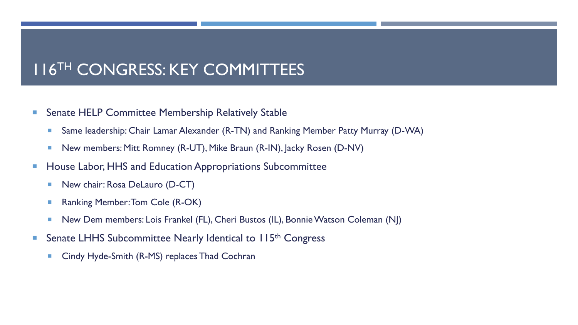## 116TH CONGRESS: KEY COMMITTEES

- Senate HELP Committee Membership Relatively Stable
	- Same leadership: Chair Lamar Alexander (R-TN) and Ranking Member Patty Murray (D-WA)
	- New members: Mitt Romney (R-UT), Mike Braun (R-IN), Jacky Rosen (D-NV)
- **House Labor, HHS and Education Appropriations Subcommittee** 
	- **New chair: Rosa DeLauro (D-CT)**
	- Ranking Member: Tom Cole (R-OK)
	- New Dem members: Lois Frankel (FL), Cheri Bustos (IL), Bonnie Watson Coleman (NJ)
- Senate LHHS Subcommittee Nearly Identical to 115<sup>th</sup> Congress
	- Cindy Hyde-Smith (R-MS) replaces Thad Cochran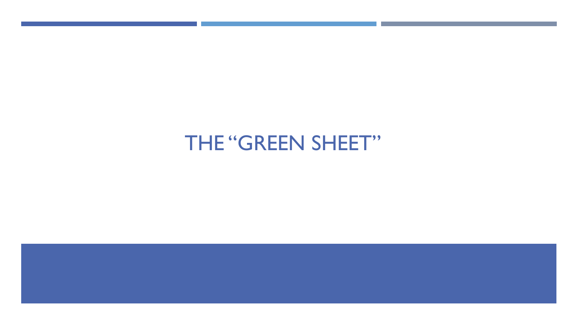# THE "GREEN SHEET"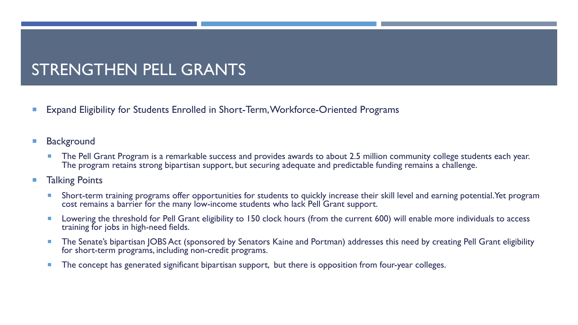# STRENGTHEN PELL GRANTS

- Expand Eligibility for Students Enrolled in Short-Term, Workforce-Oriented Programs
- **Background** 
	- **The Pell Grant Program is a remarkable success and provides awards to about 2.5 million community college students each year.** The program retains strong bipartisan support, but securing adequate and predictable funding remains a challenge.
- **Talking Points** 
	- **Short-term training programs offer opportunities for students to quickly increase their skill level and earning potential. Yet program** cost remains a barrier for the many low-income students who lack Pell Grant support.
	- Lowering the threshold for Pell Grant eligibility to 150 clock hours (from the current 600) will enable more individuals to access training for jobs in high-need fields.
	- **The Senate's bipartisan JOBS Act (sponsored by Senators Kaine and Portman) addresses this need by creating Pell Grant eligibility** for short-term programs, including non-credit programs.
	- The concept has generated significant bipartisan support, but there is opposition from four-year colleges.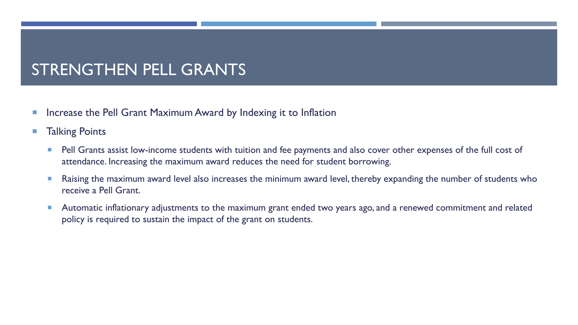### STRENGTHEN PELL GRANTS

- Increase the Pell Grant Maximum Award by Indexing it to Inflation
- **Talking Points** 
	- **Pell Grants assist low-income students with tuition and fee payments and also cover other expenses of the full cost of** attendance. Increasing the maximum award reduces the need for student borrowing.
	- Raising the maximum award level also increases the minimum award level, thereby expanding the number of students who receive a Pell Grant.
	- **Automatic inflationary adjustments to the maximum grant ended two years ago, and a renewed commitment and related** policy is required to sustain the impact of the grant on students.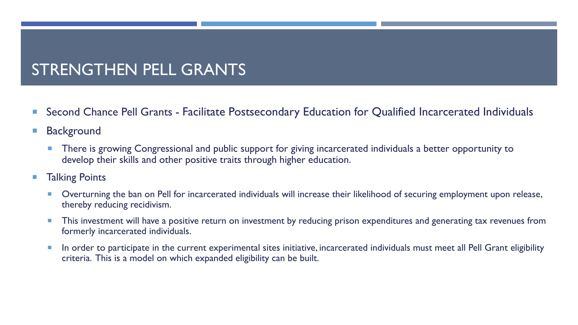# STRENGTHEN PELL GRANTS

- Second Chance Pell Grants Facilitate Postsecondary Education for Qualified Incarcerated Individuals
- **Background** 
	- **There is growing Congressional and public support for giving incarcerated individuals a better opportunity to** develop their skills and other positive traits through higher education.
- **Talking Points** 
	- **Diding 1** Overturning the ban on Pell for incarcerated individuals will increase their likelihood of securing employment upon release, thereby reducing recidivism.
	- **This investment will have a positive return on investment by reducing prison expenditures and generating tax revenues from** formerly incarcerated individuals.
	- **IF** In order to participate in the current experimental sites initiative, incarcerated individuals must meet all Pell Grant eligibility criteria. This is a model on which expanded eligibility can be built.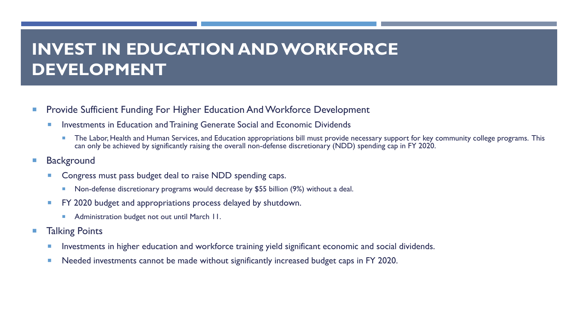# **INVEST IN EDUCATION AND WORKFORCE DEVELOPMENT**

- **Provide Sufficient Funding For Higher Education And Workforce Development** 
	- **Investments in Education and Training Generate Social and Economic Dividends** 
		- **The Labor, Health and Human Services, and Education appropriations bill must provide necessary support for key community college programs. This** can only be achieved by significantly raising the overall non-defense discretionary (NDD) spending cap in FY 2020.
- **Background** 
	- **Congress must pass budget deal to raise NDD spending caps.** 
		- **Non-defense discretionary programs would decrease by \$55 billion (9%) without a deal.**
	- **FY 2020 budget and appropriations process delayed by shutdown.** 
		- **Administration budget not out until March 11.**
- Talking Points
	- **Investments in higher education and workforce training yield significant economic and social dividends.**
	- Needed investments cannot be made without significantly increased budget caps in FY 2020.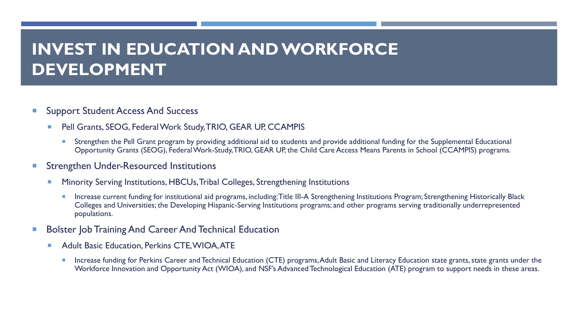# **INVEST IN EDUCATION AND WORKFORCE DEVELOPMENT**

- **Support Student Access And Success** 
	- Pell Grants, SEOG, Federal Work Study, TRIO, GEAR UP, CCAMPIS
		- Strengthen the Pell Grant program by providing additional aid to students and provide additional funding for the Supplemental Educational Opportunity Grants (SEOG), Federal Work-Study, TRIO, GEAR UP, the Child Care Access Means Parents in School (CCAMPIS) programs.
- **Strengthen Under-Resourced Institutions** 
	- **Minority Serving Institutions, HBCUs, Tribal Colleges, Strengthening Institutions** 
		- **Increase current funding for institutional aid programs, including: Title III-A Strengthening Institutions Program; Strengthening Historically Black** Colleges and Universities; the Developing Hispanic-Serving Institutions programs; and other programs serving traditionally underrepresented populations.
- Bolster Job Training And Career And Technical Education
	- **Adult Basic Education, Perkins CTE, WIOA, ATE** 
		- **Increase funding for Perkins Career and Technical Education (CTE) programs, Adult Basic and Literacy Education state grants, state grants under the** Workforce Innovation and Opportunity Act (WIOA), and NSF's Advanced Technological Education (ATE) program to support needs in these areas.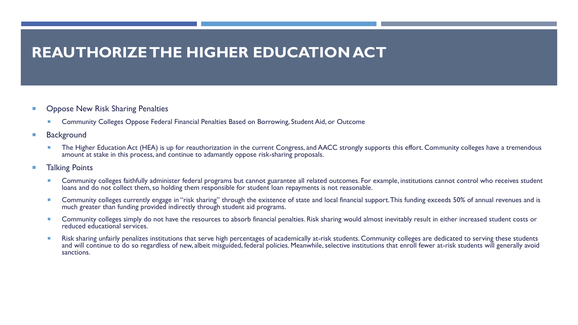#### **REAUTHORIZE THE HIGHER EDUCATION ACT**

- Oppose New Risk Sharing Penalties
	- **EXECOMMUNITY Colleges Oppose Federal Financial Penalties Based on Borrowing, Student Aid, or Outcome**
- **Background** 
	- The Higher Education Act (HEA) is up for reauthorization in the current Congress, and AACC strongly supports this effort. Community colleges have a tremendous amount at stake in this process, and continue to adamantly oppose risk-sharing proposals.
- **Talking Points** 
	- Community colleges faithfully administer federal programs but cannot guarantee all related outcomes. For example, institutions cannot control who receives student loans and do not collect them, so holding them responsible for student loan repayments is not reasonable.
	- Community colleges currently engage in "risk sharing" through the existence of state and local financial support. This funding exceeds 50% of annual revenues and is much greater than funding provided indirectly through student aid programs.
	- Community colleges simply do not have the resources to absorb financial penalties. Risk sharing would almost inevitably result in either increased student costs or reduced educational services.
	- Risk sharing unfairly penalizes institutions that serve high percentages of academically at-risk students. Community colleges are dedicated to serving these students and will continue to do so regardless of new, albeit misguided, federal policies. Meanwhile, selective institutions that enroll fewer at-risk students will generally avoid sanctions.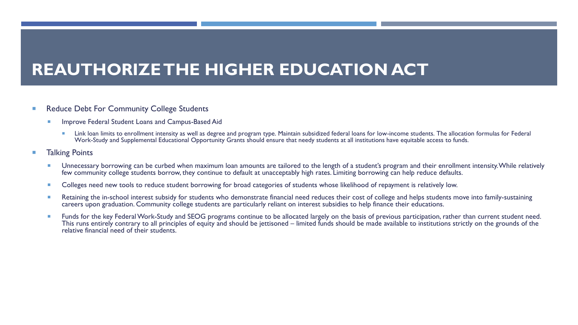# **REAUTHORIZE THE HIGHER EDUCATION ACT**

- Reduce Debt For Community College Students
	- **Improve Federal Student Loans and Campus-Based Aid** 
		- **Link loan limits to enrollment intensity as well as degree and program type. Maintain subsidized federal loans for low-income students. The allocation formulas for Federal** Work-Study and Supplemental Educational Opportunity Grants should ensure that needy students at all institutions have equitable access to funds.
- Talking Points
	- Unnecessary borrowing can be curbed when maximum loan amounts are tailored to the length of a student's program and their enrollment intensity. While relatively few community college students borrow, they continue to default at unacceptably high rates. Limiting borrowing can help reduce defaults.
	- Colleges need new tools to reduce student borrowing for broad categories of students whose likelihood of repayment is relatively low.
	- Retaining the in-school interest subsidy for students who demonstrate financial need reduces their cost of college and helps students move into family-sustaining careers upon graduation. Community college students are particularly reliant on interest subsidies to help finance their educations.
	- **Funds for the key Federal Work-Study and SEOG programs continue to be allocated largely on the basis of previous participation, rather than current student need.** This runs entirely contrary to all principles of equity and should be jettisoned – limited funds should be made available to institutions strictly on the grounds of the relative financial need of their students.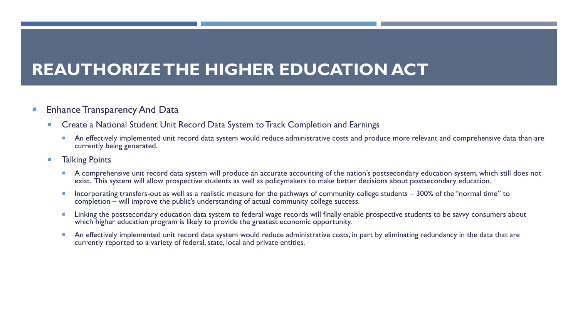# **REAUTHORIZE THE HIGHER EDUCATION ACT**

#### **Enhance Transparency And Data**

- **EXP** Create a National Student Unit Record Data System to Track Completion and Earnings
	- An effectively implemented unit record data system would reduce administrative costs and produce more relevant and comprehensive data than are currently being generated.
- **Talking Points** 
	- A comprehensive unit record data system will produce an accurate accounting of the nation's postsecondary education system, which still does not exist. This system will allow prospective students as well as policymakers to make better decisions about postsecondary education.
	- Incorporating transfers-out as well as a realistic measure for the pathways of community college students 300% of the "normal time" to completion – will improve the public's understanding of actual community college success.
	- Linking the postsecondary education data system to federal wage records will finally enable prospective students to be savvy consumers about which higher education program is likely to provide the greatest economic opportunity.
	- An effectively implemented unit record data system would reduce administrative costs, in part by eliminating redundancy in the data that are currently reported to a variety of federal, state, local and private entities.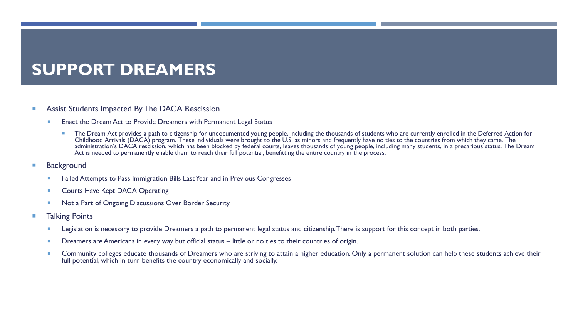# **SUPPORT DREAMERS**

#### **Assist Students Impacted By The DACA Rescission**

- **Enact the Dream Act to Provide Dreamers with Permanent Legal Status** 
	- The Dream Act provides a path to citizenship for undocumented young people, including the thousands of students who are currently enrolled in the Deferred Action for Childhood Arrivals (DACA) program. These individuals were brought to the U.S. as minors and frequently have no ties to the countries from which they came. The administration's DACA rescission, which has been blocked by federal courts, leaves thousands of young people, including many students, in a precarious status. The Dream Act is needed to permanently enable them to reach their full potential, benefitting the entire country in the process.
- **Background** 
	- Failed Attempts to Pass Immigration Bills Last Year and in Previous Congresses
	- Courts Have Kept DACA Operating
	- Not a Part of Ongoing Discussions Over Border Security
- **Talking Points** 
	- Legislation is necessary to provide Dreamers a path to permanent legal status and citizenship. There is support for this concept in both parties.
	- Dreamers are Americans in every way but official status little or no ties to their countries of origin.
	- Community colleges educate thousands of Dreamers who are striving to attain a higher education. Only a permanent solution can help these students achieve their full potential, which in turn benefits the country economically and socially.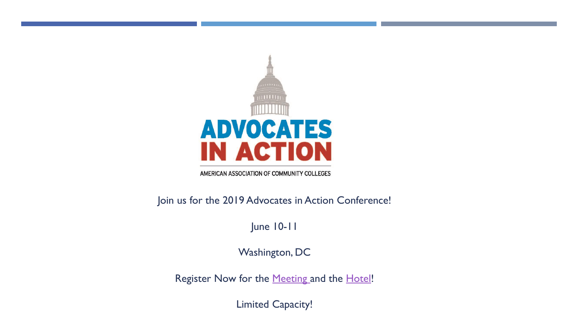

AMERICAN ASSOCIATION OF COMMUNITY COLLEGES

Join us for the 2019 Advocates in Action Conference!

June 10-11

Washington, DC

Register Now for the [Meeting](http://www.cvent.com/events/aacc-s-2019-advocates-in-action/event-summary-22ca17234f34424a96bbae5e90edbb9a.aspx) and the [Hotel](https://www.ihg.com/kimptonhotels/hotels/us/en/find-hotels/hotel/rooms?qDest=2121 P St NW, Washington, DC, US&qCiMy=52019&qCiD=8&qCoMy=52019&qCoD=12&qAdlt=1&qChld=0&qRms=1&qRtP=6CBARC&qIta=99801505&qGrpCd=AA3&qSlH=WDCPA&qAkamaiCC=US&qBrs=re.ic.in.vn.cp.vx.hi.ex.rs.cv.sb.cw.ma.ul.ki.va&qAAR=6CBARC&qWch=0&qSmP=1&setPMCookies=true&qRad=30&qRdU=mi&srb_u=1&icdv=99801505)!

Limited Capacity!